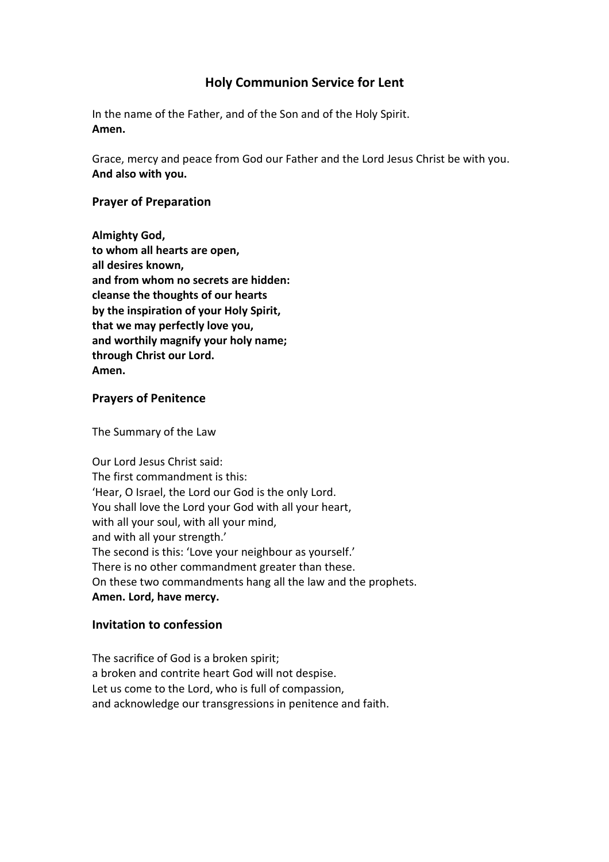# **Holy Communion Service for Lent**

In the name of the Father, and of the Son and of the Holy Spirit. **Amen.** 

Grace, mercy and peace from God our Father and the Lord Jesus Christ be with you. **And also with you.** 

## **Prayer of Preparation**

**Almighty God, to whom all hearts are open, all desires known, and from whom no secrets are hidden: cleanse the thoughts of our hearts by the inspiration of your Holy Spirit, that we may perfectly love you, and worthily magnify your holy name; through Christ our Lord. Amen.** 

### **Prayers of Penitence**

The Summary of the Law

Our Lord Jesus Christ said: The first commandment is this: 'Hear, O Israel, the Lord our God is the only Lord. You shall love the Lord your God with all your heart, with all your soul, with all your mind, and with all your strength.' The second is this: 'Love your neighbour as yourself.' There is no other commandment greater than these. On these two commandments hang all the law and the prophets. **Amen. Lord, have mercy.** 

## **Invitation to confession**

The sacrifice of God is a broken spirit; a broken and contrite heart God will not despise. Let us come to the Lord, who is full of compassion, and acknowledge our transgressions in penitence and faith.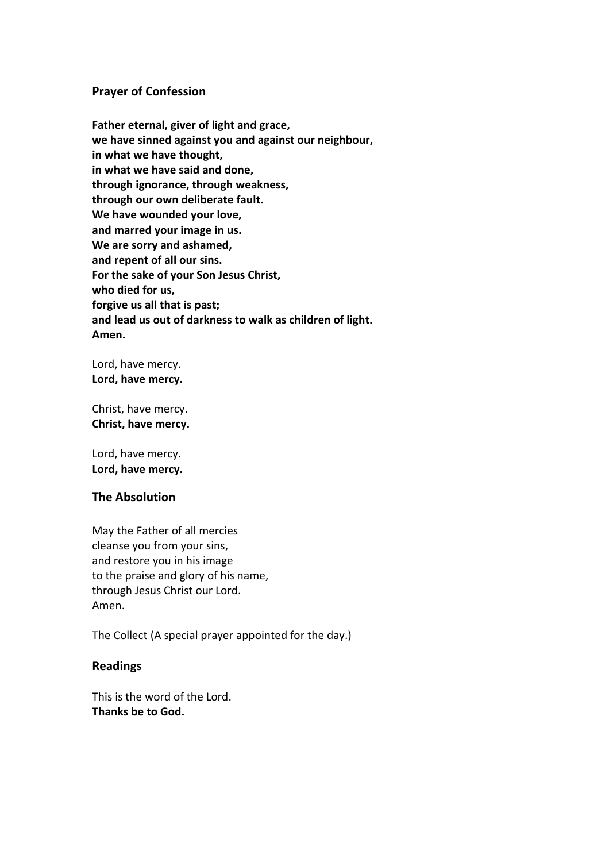#### **Prayer of Confession**

**Father eternal, giver of light and grace, we have sinned against you and against our neighbour, in what we have thought, in what we have said and done, through ignorance, through weakness, through our own deliberate fault. We have wounded your love, and marred your image in us. We are sorry and ashamed, and repent of all our sins. For the sake of your Son Jesus Christ, who died for us, forgive us all that is past; and lead us out of darkness to walk as children of light. Amen.**

Lord, have mercy. **Lord, have mercy.** 

Christ, have mercy. **Christ, have mercy.** 

Lord, have mercy. **Lord, have mercy.** 

#### **The Absolution**

May the Father of all mercies cleanse you from your sins, and restore you in his image to the praise and glory of his name, through Jesus Christ our Lord. Amen.

The Collect (A special prayer appointed for the day.)

### **Readings**

This is the word of the Lord. **Thanks be to God.**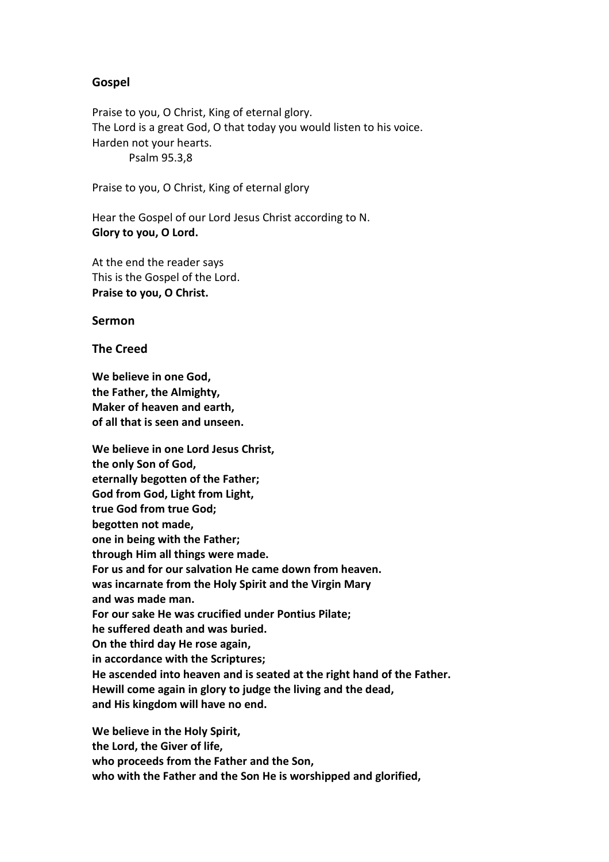#### **Gospel**

Praise to you, O Christ, King of eternal glory. The Lord is a great God, O that today you would listen to his voice. Harden not your hearts. Psalm 95.3,8

Praise to you, O Christ, King of eternal glory

Hear the Gospel of our Lord Jesus Christ according to N. **Glory to you, O Lord.** 

At the end the reader says This is the Gospel of the Lord. **Praise to you, O Christ.** 

**Sermon** 

**The Creed** 

**We believe in one God, the Father, the Almighty, Maker of heaven and earth, of all that is seen and unseen.** 

**We believe in one Lord Jesus Christ, the only Son of God, eternally begotten of the Father; God from God, Light from Light, true God from true God; begotten not made, one in being with the Father; through Him all things were made. For us and for our salvation He came down from heaven. was incarnate from the Holy Spirit and the Virgin Mary and was made man. For our sake He was crucified under Pontius Pilate; he suffered death and was buried. On the third day He rose again, in accordance with the Scriptures; He ascended into heaven and is seated at the right hand of the Father. Hewill come again in glory to judge the living and the dead, and His kingdom will have no end.** 

**We believe in the Holy Spirit, the Lord, the Giver of life, who proceeds from the Father and the Son, who with the Father and the Son He is worshipped and glorified,**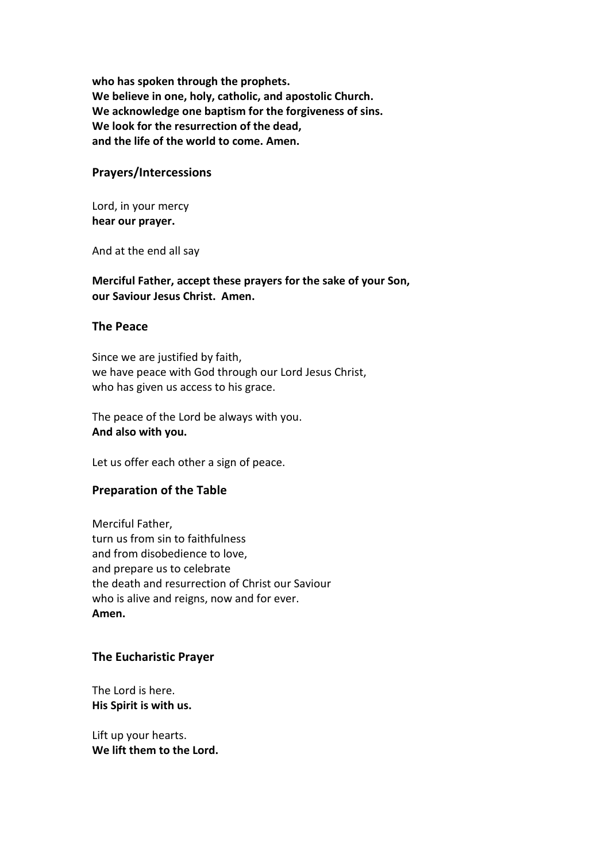**who has spoken through the prophets. We believe in one, holy, catholic, and apostolic Church. We acknowledge one baptism for the forgiveness of sins. We look for the resurrection of the dead, and the life of the world to come. Amen.** 

#### **Prayers/Intercessions**

Lord, in your mercy **hear our prayer.** 

And at the end all say

**Merciful Father, accept these prayers for the sake of your Son, our Saviour Jesus Christ. Amen.** 

#### **The Peace**

Since we are justified by faith, we have peace with God through our Lord Jesus Christ, who has given us access to his grace.

The peace of the Lord be always with you. **And also with you.** 

Let us offer each other a sign of peace.

#### **Preparation of the Table**

Merciful Father, turn us from sin to faithfulness and from disobedience to love, and prepare us to celebrate the death and resurrection of Christ our Saviour who is alive and reigns, now and for ever. **Amen.** 

#### **The Eucharistic Prayer**

The Lord is here. **His Spirit is with us.** 

Lift up your hearts. **We lift them to the Lord.**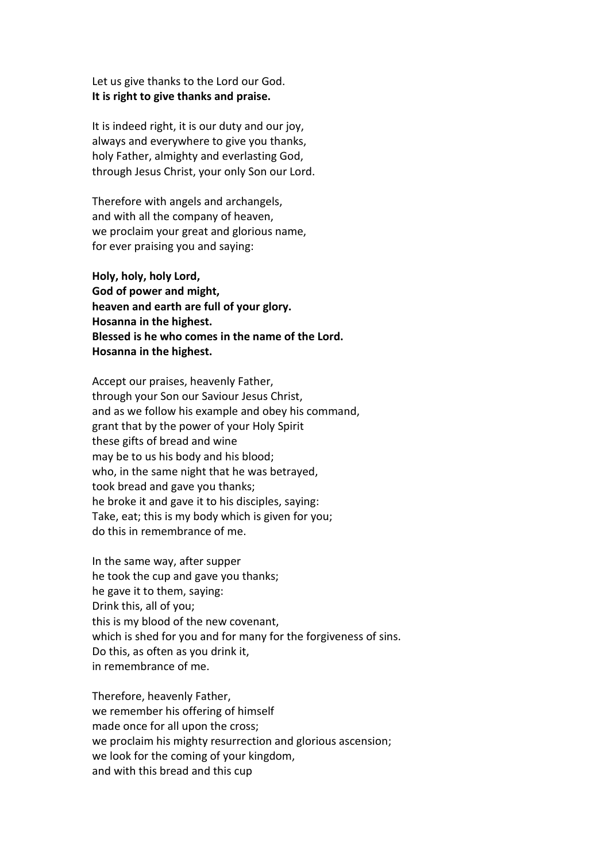Let us give thanks to the Lord our God. **It is right to give thanks and praise.** 

It is indeed right, it is our duty and our joy, always and everywhere to give you thanks, holy Father, almighty and everlasting God, through Jesus Christ, your only Son our Lord.

Therefore with angels and archangels, and with all the company of heaven, we proclaim your great and glorious name, for ever praising you and saying:

**Holy, holy, holy Lord, God of power and might, heaven and earth are full of your glory. Hosanna in the highest. Blessed is he who comes in the name of the Lord. Hosanna in the highest.** 

Accept our praises, heavenly Father, through your Son our Saviour Jesus Christ, and as we follow his example and obey his command, grant that by the power of your Holy Spirit these gifts of bread and wine may be to us his body and his blood; who, in the same night that he was betrayed, took bread and gave you thanks; he broke it and gave it to his disciples, saying: Take, eat; this is my body which is given for you; do this in remembrance of me.

In the same way, after supper he took the cup and gave you thanks; he gave it to them, saying: Drink this, all of you; this is my blood of the new covenant, which is shed for you and for many for the forgiveness of sins. Do this, as often as you drink it, in remembrance of me.

Therefore, heavenly Father, we remember his offering of himself made once for all upon the cross; we proclaim his mighty resurrection and glorious ascension; we look for the coming of your kingdom, and with this bread and this cup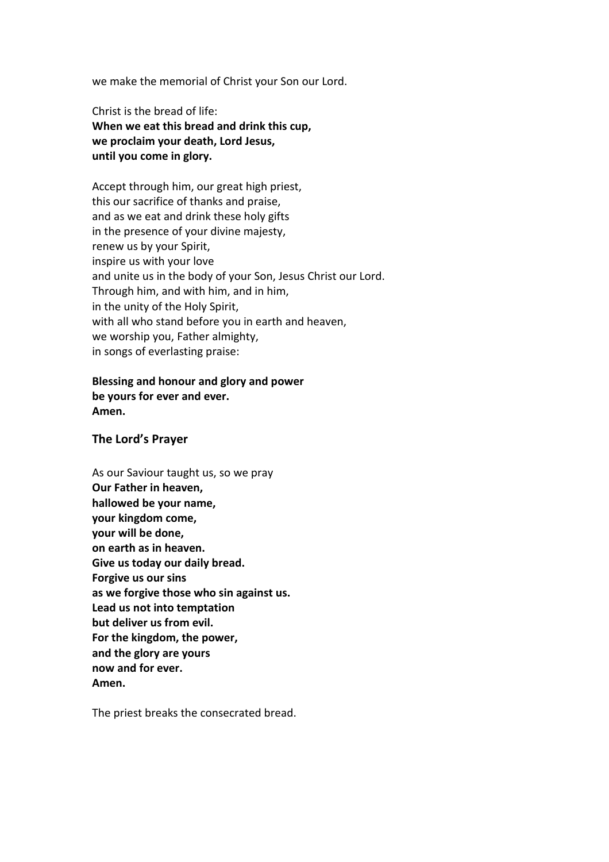we make the memorial of Christ your Son our Lord.

Christ is the bread of life: **When we eat this bread and drink this cup, we proclaim your death, Lord Jesus, until you come in glory.** 

Accept through him, our great high priest, this our sacrifice of thanks and praise, and as we eat and drink these holy gifts in the presence of your divine majesty, renew us by your Spirit, inspire us with your love and unite us in the body of your Son, Jesus Christ our Lord. Through him, and with him, and in him, in the unity of the Holy Spirit, with all who stand before you in earth and heaven, we worship you, Father almighty, in songs of everlasting praise:

## **Blessing and honour and glory and power be yours for ever and ever. Amen.**

#### **The Lord's Prayer**

As our Saviour taught us, so we pray **Our Father in heaven, hallowed be your name, your kingdom come, your will be done, on earth as in heaven. Give us today our daily bread. Forgive us our sins as we forgive those who sin against us. Lead us not into temptation but deliver us from evil. For the kingdom, the power, and the glory are yours now and for ever. Amen.** 

The priest breaks the consecrated bread.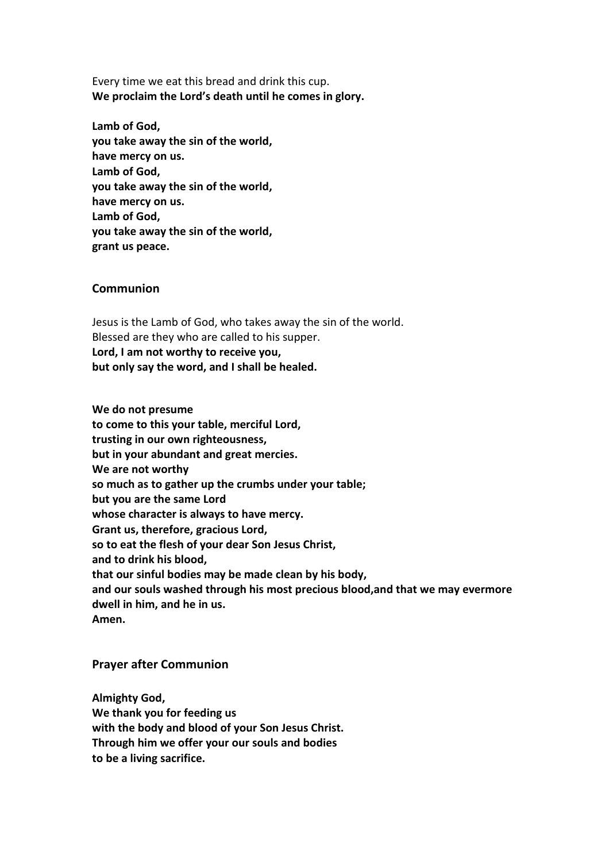Every time we eat this bread and drink this cup. **We proclaim the Lord's death until he comes in glory.** 

**Lamb of God, you take away the sin of the world, have mercy on us. Lamb of God, you take away the sin of the world, have mercy on us. Lamb of God, you take away the sin of the world, grant us peace.**

#### **Communion**

Jesus is the Lamb of God, who takes away the sin of the world. Blessed are they who are called to his supper. **Lord, I am not worthy to receive you, but only say the word, and I shall be healed.** 

**We do not presume to come to this your table, merciful Lord, trusting in our own righteousness, but in your abundant and great mercies. We are not worthy so much as to gather up the crumbs under your table; but you are the same Lord whose character is always to have mercy. Grant us, therefore, gracious Lord, so to eat the flesh of your dear Son Jesus Christ, and to drink his blood, that our sinful bodies may be made clean by his body, and our souls washed through his most precious blood,and that we may evermore**  dwell in him, and he in us. **Amen.** 

#### **Prayer after Communion**

**Almighty God, We thank you for feeding us with the body and blood of your Son Jesus Christ. Through him we offer your our souls and bodies to be a living sacrifice.**